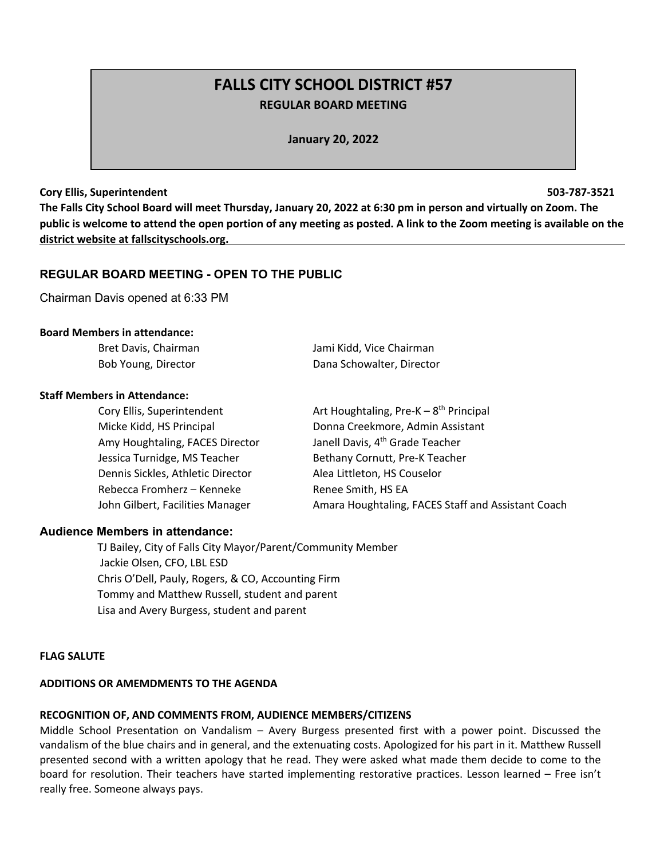# **FALLS CITY SCHOOL DISTRICT #57 REGULAR BOARD MEETING**

**January 20, 2022**

#### **Cory Ellis, Superintendent 503-787-3521**

**The Falls City School Board will meet Thursday, January 20, 2022 at 6:30 pm in person and virtually on Zoom. The public is welcome to attend the open portion of any meeting as posted. A link to the Zoom meeting is available on the district website at fallscityschools.org.**

### **REGULAR BOARD MEETING - OPEN TO THE PUBLIC**

Chairman Davis opened at 6:33 PM

#### **Board Members in attendance:**

| Bret Davis, Chairman | Jami Kidd, Vice Chairman  |
|----------------------|---------------------------|
| Bob Young, Director  | Dana Schowalter, Director |

#### **Staff Members in Attendance:**

| Cory Ellis, Superintendent        | Art Houghtaling, Pre-K $-8$ <sup>th</sup> Principal |
|-----------------------------------|-----------------------------------------------------|
| Micke Kidd, HS Principal          | Donna Creekmore, Admin Assistant                    |
| Amy Houghtaling, FACES Director   | Janell Davis, 4 <sup>th</sup> Grade Teacher         |
| Jessica Turnidge, MS Teacher      | Bethany Cornutt, Pre-K Teacher                      |
| Dennis Sickles, Athletic Director | Alea Littleton, HS Couselor                         |
| Rebecca Fromherz - Kenneke        | Renee Smith, HS EA                                  |
| John Gilbert, Facilities Manager  | Amara Houghtaling, FACES Staff and Assistant Coach  |

### **Audience Members in attendance:**

 TJ Bailey, City of Falls City Mayor/Parent/Community Member Jackie Olsen, CFO, LBL ESD Chris O'Dell, Pauly, Rogers, & CO, Accounting Firm Tommy and Matthew Russell, student and parent Lisa and Avery Burgess, student and parent

### **FLAG SALUTE**

### **ADDITIONS OR AMEMDMENTS TO THE AGENDA**

### **RECOGNITION OF, AND COMMENTS FROM, AUDIENCE MEMBERS/CITIZENS**

Middle School Presentation on Vandalism – Avery Burgess presented first with a power point. Discussed the vandalism of the blue chairs and in general, and the extenuating costs. Apologized for his part in it. Matthew Russell presented second with a written apology that he read. They were asked what made them decide to come to the board for resolution. Their teachers have started implementing restorative practices. Lesson learned – Free isn't really free. Someone always pays.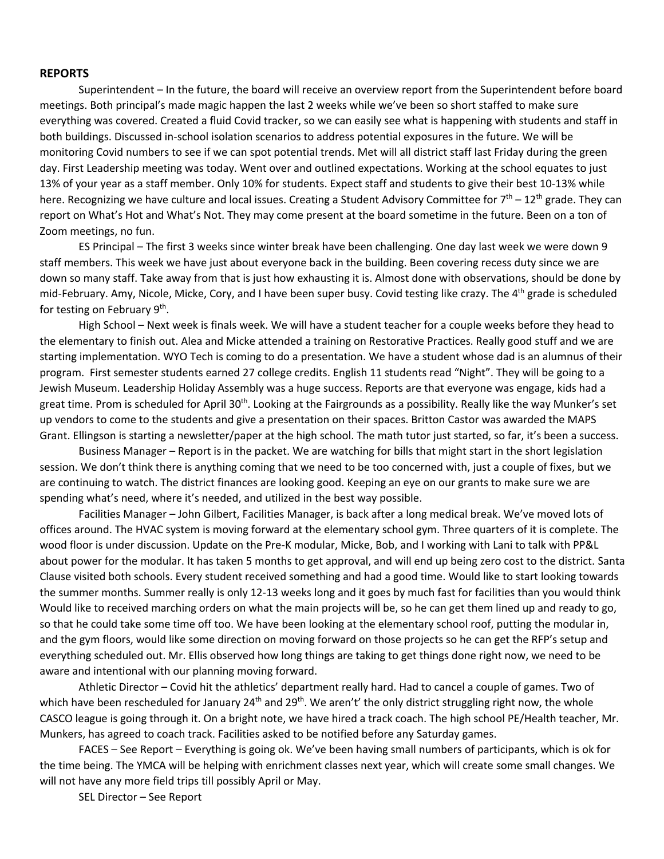#### **REPORTS**

Superintendent – In the future, the board will receive an overview report from the Superintendent before board meetings. Both principal's made magic happen the last 2 weeks while we've been so short staffed to make sure everything was covered. Created a fluid Covid tracker, so we can easily see what is happening with students and staff in both buildings. Discussed in-school isolation scenarios to address potential exposures in the future. We will be monitoring Covid numbers to see if we can spot potential trends. Met will all district staff last Friday during the green day. First Leadership meeting was today. Went over and outlined expectations. Working at the school equates to just 13% of your year as a staff member. Only 10% for students. Expect staff and students to give their best 10-13% while here. Recognizing we have culture and local issues. Creating a Student Advisory Committee for  $7<sup>th</sup> - 12<sup>th</sup>$  grade. They can report on What's Hot and What's Not. They may come present at the board sometime in the future. Been on a ton of Zoom meetings, no fun.

ES Principal – The first 3 weeks since winter break have been challenging. One day last week we were down 9 staff members. This week we have just about everyone back in the building. Been covering recess duty since we are down so many staff. Take away from that is just how exhausting it is. Almost done with observations, should be done by mid-February. Amy, Nicole, Micke, Cory, and I have been super busy. Covid testing like crazy. The 4<sup>th</sup> grade is scheduled for testing on February  $9<sup>th</sup>$ .

High School – Next week is finals week. We will have a student teacher for a couple weeks before they head to the elementary to finish out. Alea and Micke attended a training on Restorative Practices. Really good stuff and we are starting implementation. WYO Tech is coming to do a presentation. We have a student whose dad is an alumnus of their program. First semester students earned 27 college credits. English 11 students read "Night". They will be going to a Jewish Museum. Leadership Holiday Assembly was a huge success. Reports are that everyone was engage, kids had a great time. Prom is scheduled for April 30<sup>th</sup>. Looking at the Fairgrounds as a possibility. Really like the way Munker's set up vendors to come to the students and give a presentation on their spaces. Britton Castor was awarded the MAPS Grant. Ellingson is starting a newsletter/paper at the high school. The math tutor just started, so far, it's been a success.

Business Manager – Report is in the packet. We are watching for bills that might start in the short legislation session. We don't think there is anything coming that we need to be too concerned with, just a couple of fixes, but we are continuing to watch. The district finances are looking good. Keeping an eye on our grants to make sure we are spending what's need, where it's needed, and utilized in the best way possible.

Facilities Manager – John Gilbert, Facilities Manager, is back after a long medical break. We've moved lots of offices around. The HVAC system is moving forward at the elementary school gym. Three quarters of it is complete. The wood floor is under discussion. Update on the Pre-K modular, Micke, Bob, and I working with Lani to talk with PP&L about power for the modular. It has taken 5 months to get approval, and will end up being zero cost to the district. Santa Clause visited both schools. Every student received something and had a good time. Would like to start looking towards the summer months. Summer really is only 12-13 weeks long and it goes by much fast for facilities than you would think Would like to received marching orders on what the main projects will be, so he can get them lined up and ready to go, so that he could take some time off too. We have been looking at the elementary school roof, putting the modular in, and the gym floors, would like some direction on moving forward on those projects so he can get the RFP's setup and everything scheduled out. Mr. Ellis observed how long things are taking to get things done right now, we need to be aware and intentional with our planning moving forward.

Athletic Director – Covid hit the athletics' department really hard. Had to cancel a couple of games. Two of which have been rescheduled for January 24<sup>th</sup> and 29<sup>th</sup>. We aren't' the only district struggling right now, the whole CASCO league is going through it. On a bright note, we have hired a track coach. The high school PE/Health teacher, Mr. Munkers, has agreed to coach track. Facilities asked to be notified before any Saturday games.

FACES – See Report – Everything is going ok. We've been having small numbers of participants, which is ok for the time being. The YMCA will be helping with enrichment classes next year, which will create some small changes. We will not have any more field trips till possibly April or May.

SEL Director – See Report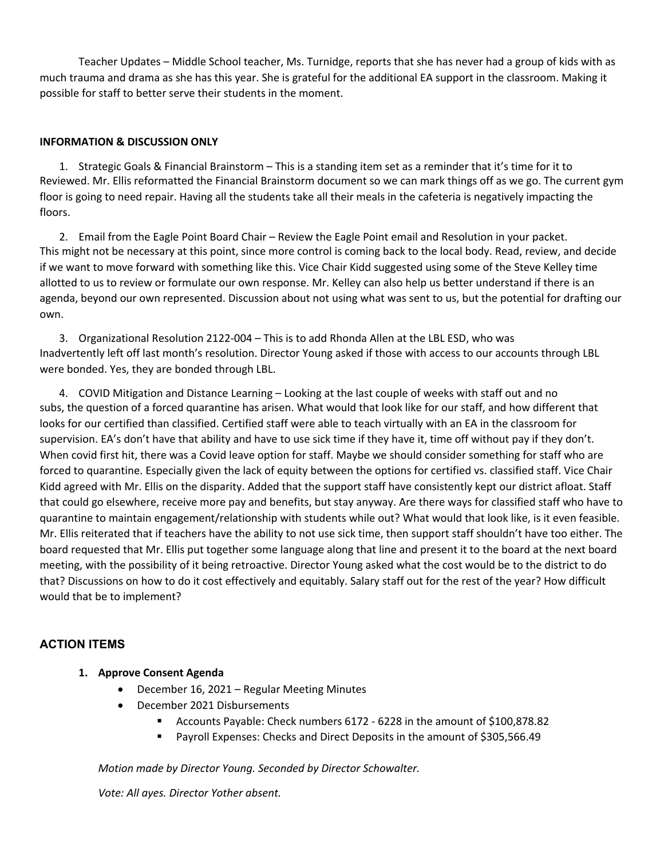Teacher Updates – Middle School teacher, Ms. Turnidge, reports that she has never had a group of kids with as much trauma and drama as she has this year. She is grateful for the additional EA support in the classroom. Making it possible for staff to better serve their students in the moment.

### **INFORMATION & DISCUSSION ONLY**

1. Strategic Goals & Financial Brainstorm – This is a standing item set as a reminder that it's time for it to Reviewed. Mr. Ellis reformatted the Financial Brainstorm document so we can mark things off as we go. The current gym floor is going to need repair. Having all the students take all their meals in the cafeteria is negatively impacting the floors.

2. Email from the Eagle Point Board Chair – Review the Eagle Point email and Resolution in your packet. This might not be necessary at this point, since more control is coming back to the local body. Read, review, and decide if we want to move forward with something like this. Vice Chair Kidd suggested using some of the Steve Kelley time allotted to us to review or formulate our own response. Mr. Kelley can also help us better understand if there is an agenda, beyond our own represented. Discussion about not using what was sent to us, but the potential for drafting our own.

3. Organizational Resolution 2122-004 – This is to add Rhonda Allen at the LBL ESD, who was Inadvertently left off last month's resolution. Director Young asked if those with access to our accounts through LBL were bonded. Yes, they are bonded through LBL.

4. COVID Mitigation and Distance Learning – Looking at the last couple of weeks with staff out and no subs, the question of a forced quarantine has arisen. What would that look like for our staff, and how different that looks for our certified than classified. Certified staff were able to teach virtually with an EA in the classroom for supervision. EA's don't have that ability and have to use sick time if they have it, time off without pay if they don't. When covid first hit, there was a Covid leave option for staff. Maybe we should consider something for staff who are forced to quarantine. Especially given the lack of equity between the options for certified vs. classified staff. Vice Chair Kidd agreed with Mr. Ellis on the disparity. Added that the support staff have consistently kept our district afloat. Staff that could go elsewhere, receive more pay and benefits, but stay anyway. Are there ways for classified staff who have to quarantine to maintain engagement/relationship with students while out? What would that look like, is it even feasible. Mr. Ellis reiterated that if teachers have the ability to not use sick time, then support staff shouldn't have too either. The board requested that Mr. Ellis put together some language along that line and present it to the board at the next board meeting, with the possibility of it being retroactive. Director Young asked what the cost would be to the district to do that? Discussions on how to do it cost effectively and equitably. Salary staff out for the rest of the year? How difficult would that be to implement?

## **ACTION ITEMS**

### **1. Approve Consent Agenda**

- December 16, 2021 Regular Meeting Minutes
- December 2021 Disbursements
	- § Accounts Payable: Check numbers 6172 6228 in the amount of \$100,878.82
	- § Payroll Expenses: Checks and Direct Deposits in the amount of \$305,566.49

*Motion made by Director Young. Seconded by Director Schowalter.*

*Vote: All ayes. Director Yother absent.*